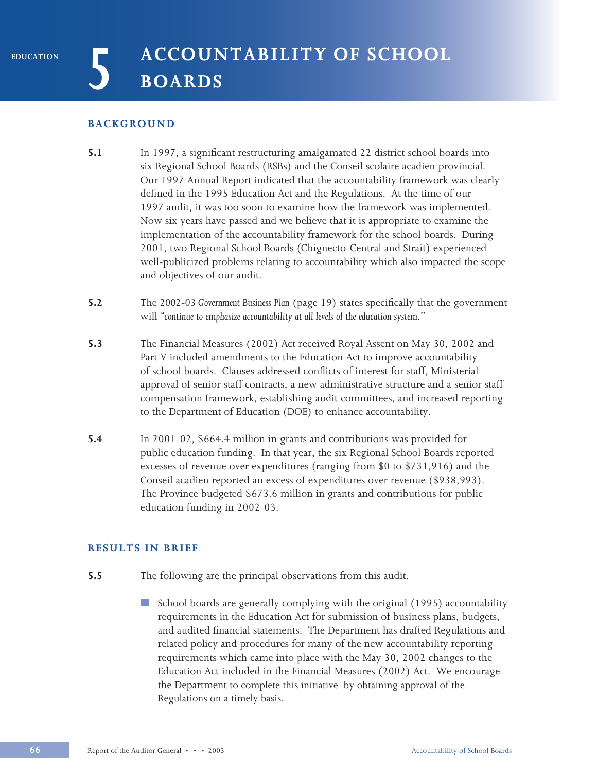## **BACKGROUND**

- **5.1** In 1997, a significant restructuring amalgamated 22 district school boards into six Regional School Boards (RSBs) and the Conseil scolaire acadien provincial. Our 1997 Annual Report indicated that the accountability framework was clearly defined in the 1995 Education Act and the Regulations. At the time of our 1997 audit, it was too soon to examine how the framework was implemented. Now six years have passed and we believe that it is appropriate to examine the implementation of the accountability framework for the school boards. During 2001, two Regional School Boards (Chignecto-Central and Strait) experienced well-publicized problems relating to accountability which also impacted the scope and objectives of our audit.
- **5.2** The *2002-03 Government Business Plan* (page 19) states specifically that the government will *"continue to emphasize accountability at all levels of the education system*."
- **5.3** The Financial Measures (2002) Act received Royal Assent on May 30, 2002 and Part V included amendments to the Education Act to improve accountability of school boards. Clauses addressed conflicts of interest for staff, Ministerial approval of senior staff contracts, a new administrative structure and a senior staff compensation framework, establishing audit committees, and increased reporting to the Department of Education (DOE) to enhance accountability.
- **5.4** In 2001-02, \$664.4 million in grants and contributions was provided for public education funding. In that year, the six Regional School Boards reported excesses of revenue over expenditures (ranging from \$0 to \$731,916) and the Conseil acadien reported an excess of expenditures over revenue (\$938,993). The Province budgeted \$673.6 million in grants and contributions for public education funding in 2002-03.

# **RESULTS IN BRIEF**

- **5.5** The following are the principal observations from this audit.
	- **In the contract of the contract** School boards are generally complying with the original (1995) accountability requirements in the Education Act for submission of business plans, budgets, and audited financial statements. The Department has drafted Regulations and related policy and procedures for many of the new accountability reporting requirements which came into place with the May 30, 2002 changes to the Education Act included in the Financial Measures (2002) Act. We encourage the Department to complete this initiative by obtaining approval of the Regulations on a timely basis.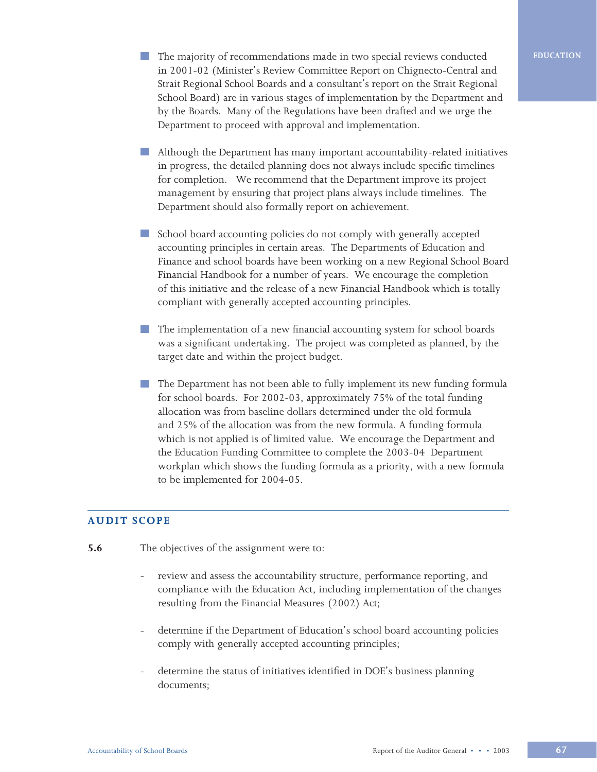- **The majority of recommendations made in two special reviews conducted <b>EDUCATION** in 2001-02 (Minister's Review Committee Report on Chignecto-Central and Strait Regional School Boards and a consultant's report on the Strait Regional School Board) are in various stages of implementation by the Department and by the Boards. Many of the Regulations have been drafted and we urge the Department to proceed with approval and implementation.
- Although the Department has many important accountability-related initiatives in progress, the detailed planning does not always include specific timelines for completion. We recommend that the Department improve its project management by ensuring that project plans always include timelines. The Department should also formally report on achievement.
- School board accounting policies do not comply with generally accepted accounting principles in certain areas. The Departments of Education and Finance and school boards have been working on a new Regional School Board Financial Handbook for a number of years. We encourage the completion of this initiative and the release of a new Financial Handbook which is totally compliant with generally accepted accounting principles.
- The implementation of a new financial accounting system for school boards was a significant undertaking. The project was completed as planned, by the target date and within the project budget.
- The Department has not been able to fully implement its new funding formula for school boards. For 2002-03, approximately 75% of the total funding allocation was from baseline dollars determined under the old formula and 25% of the allocation was from the new formula. A funding formula which is not applied is of limited value. We encourage the Department and the Education Funding Committee to complete the 2003-04 Department workplan which shows the funding formula as a priority, with a new formula to be implemented for 2004-05.

# **AUDIT SCOPE**

- **5.6** The objectives of the assignment were to:
	- review and assess the accountability structure, performance reporting, and compliance with the Education Act, including implementation of the changes resulting from the Financial Measures (2002) Act;
	- determine if the Department of Education's school board accounting policies comply with generally accepted accounting principles;
	- determine the status of initiatives identified in DOE's business planning documents;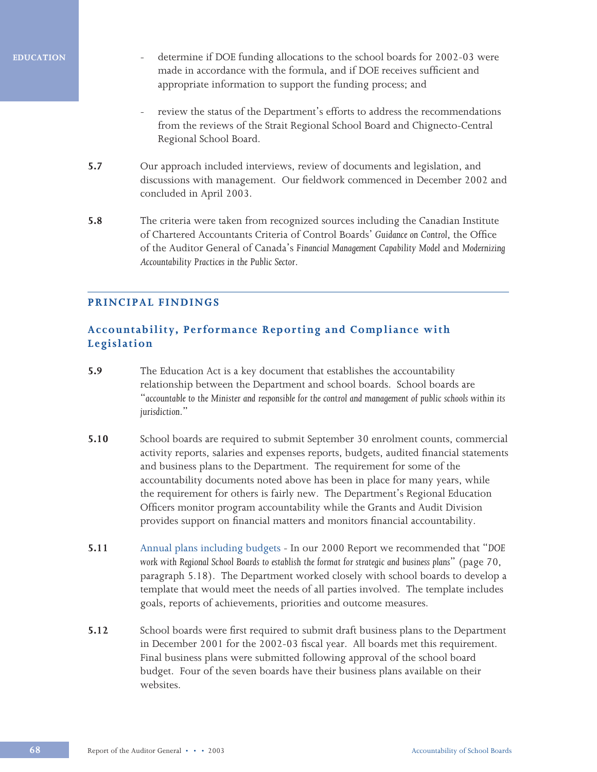- determine if DOE funding allocations to the school boards for 2002-03 were made in accordance with the formula, and if DOE receives sufficient and appropriate information to support the funding process; and
- review the status of the Department's efforts to address the recommendations from the reviews of the Strait Regional School Board and Chignecto-Central Regional School Board.
- **5.7** Our approach included interviews, review of documents and legislation, and discussions with management. Our fieldwork commenced in December 2002 and concluded in April 2003.
- **5.8** The criteria were taken from recognized sources including the Canadian Institute of Chartered Accountants Criteria of Control Boards' *Guidance on Control*, the Office of the Auditor General of Canada's *Financial Management Capability Model* and *Modernizing Accountability Practices in the Public Sector*.

# **PRINCIPAL FINDINGS**

# **Accountability, Performance Reporting and Compliance with Legislation**

- **5.9** The Education Act is a key document that establishes the accountability relationship between the Department and school boards. School boards are "*accountable to the Minister and responsible for the control and management of public schools within its jurisdiction*."
- **5.10** School boards are required to submit September 30 enrolment counts, commercial activity reports, salaries and expenses reports, budgets, audited financial statements and business plans to the Department. The requirement for some of the accountability documents noted above has been in place for many years, while the requirement for others is fairly new. The Department's Regional Education Officers monitor program accountability while the Grants and Audit Division provides support on financial matters and monitors financial accountability.
- **5.11** Annual plans including budgets In our 2000 Report we recommended that "*DOE work with Regional School Boards to establish the format for strategic and business plans*" (page 70, paragraph 5.18). The Department worked closely with school boards to develop a template that would meet the needs of all parties involved. The template includes goals, reports of achievements, priorities and outcome measures.
- **5.12** School boards were first required to submit draft business plans to the Department in December 2001 for the 2002-03 fiscal year. All boards met this requirement. Final business plans were submitted following approval of the school board budget. Four of the seven boards have their business plans available on their websites.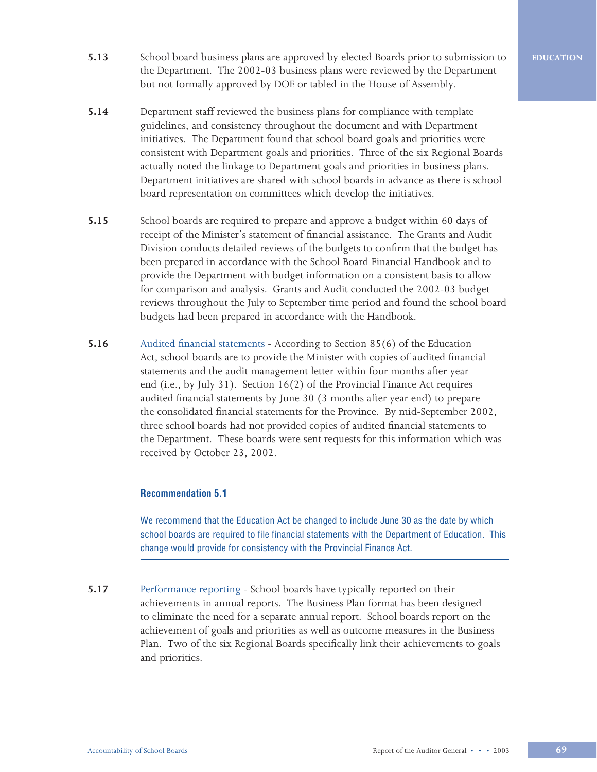- **5.13** School board business plans are approved by elected Boards prior to submission to the Department. The 2002-03 business plans were reviewed by the Department but not formally approved by DOE or tabled in the House of Assembly.
- **5.14** Department staff reviewed the business plans for compliance with template guidelines, and consistency throughout the document and with Department initiatives. The Department found that school board goals and priorities were consistent with Department goals and priorities. Three of the six Regional Boards actually noted the linkage to Department goals and priorities in business plans. Department initiatives are shared with school boards in advance as there is school board representation on committees which develop the initiatives.
- **5.15** School boards are required to prepare and approve a budget within 60 days of receipt of the Minister's statement of financial assistance. The Grants and Audit Division conducts detailed reviews of the budgets to confirm that the budget has been prepared in accordance with the School Board Financial Handbook and to provide the Department with budget information on a consistent basis to allow for comparison and analysis. Grants and Audit conducted the 2002-03 budget reviews throughout the July to September time period and found the school board budgets had been prepared in accordance with the Handbook.
- **5.16** Audited financial statements According to Section 85(6) of the Education Act, school boards are to provide the Minister with copies of audited financial statements and the audit management letter within four months after year end (i.e., by July 31). Section 16(2) of the Provincial Finance Act requires audited financial statements by June 30 (3 months after year end) to prepare the consolidated financial statements for the Province. By mid-September 2002, three school boards had not provided copies of audited financial statements to the Department. These boards were sent requests for this information which was received by October 23, 2002.

### **Recommendation 5.1**

We recommend that the Education Act be changed to include June 30 as the date by which school boards are required to file financial statements with the Department of Education. This change would provide for consistency with the Provincial Finance Act.

**5.17** Performance reporting - School boards have typically reported on their achievements in annual reports. The Business Plan format has been designed to eliminate the need for a separate annual report. School boards report on the achievement of goals and priorities as well as outcome measures in the Business Plan. Two of the six Regional Boards specifically link their achievements to goals and priorities.

**EDUCATION**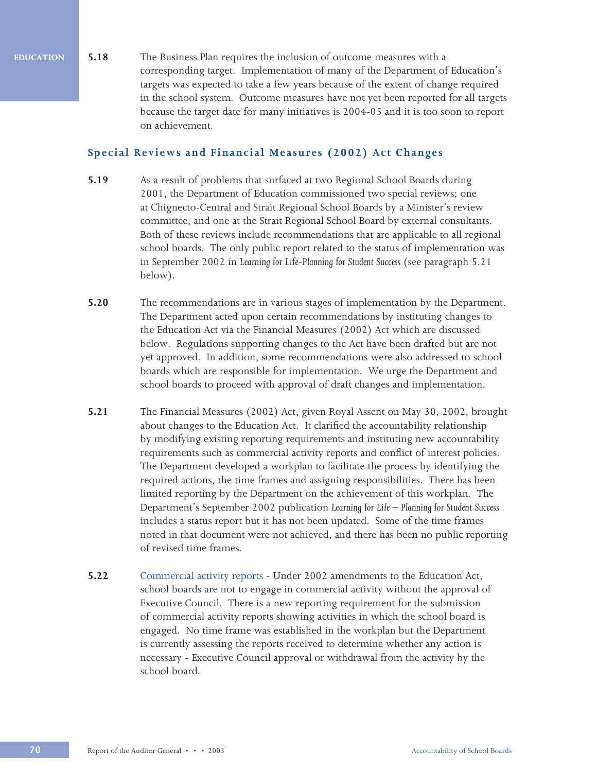**5.18** The Business Plan requires the inclusion of outcome measures with a corresponding target. Implementation of many of the Department of Education's targets was expected to take a few years because of the extent of change required in the school system. Outcome measures have not yet been reported for all targets because the target date for many initiatives is 2004-05 and it is too soon to report on achievement.

# **Special Reviews and Financial Measures (2002) Act Changes**

- **5.19** As a result of problems that surfaced at two Regional School Boards during 2001, the Department of Education commissioned two special reviews; one at Chignecto-Central and Strait Regional School Boards by a Minister's review committee, and one at the Strait Regional School Board by external consultants. Both of these reviews include recommendations that are applicable to all regional school boards. The only public report related to the status of implementation was in September 2002 in *Learning for Life-Planning for Student Success* (see paragraph 5.21 below).
- **5.20** The recommendations are in various stages of implementation by the Department. The Department acted upon certain recommendations by instituting changes to the Education Act via the Financial Measures (2002) Act which are discussed below. Regulations supporting changes to the Act have been drafted but are not yet approved. In addition, some recommendations were also addressed to school boards which are responsible for implementation. We urge the Department and school boards to proceed with approval of draft changes and implementation.
- **5.21** The Financial Measures (2002) Act, given Royal Assent on May 30, 2002, brought about changes to the Education Act. It clarified the accountability relationship by modifying existing reporting requirements and instituting new accountability requirements such as commercial activity reports and conflict of interest policies. The Department developed a workplan to facilitate the process by identifying the required actions, the time frames and assigning responsibilities. There has been limited reporting by the Department on the achievement of this workplan. The Department's September 2002 publication *Learning for Life – Planning for Student Success* includes a status report but it has not been updated. Some of the time frames noted in that document were not achieved, and there has been no public reporting of revised time frames.
- **5.22** Commercial activity reports Under 2002 amendments to the Education Act, school boards are not to engage in commercial activity without the approval of Executive Council. There is a new reporting requirement for the submission of commercial activity reports showing activities in which the school board is engaged. No time frame was established in the workplan but the Department is currently assessing the reports received to determine whether any action is necessary - Executive Council approval or withdrawal from the activity by the school board.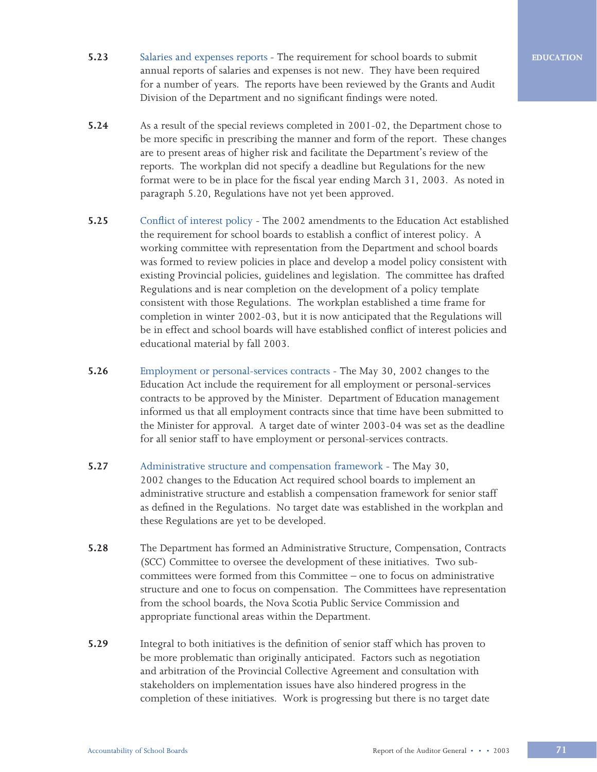- **5.23** Salaries and expenses reports The requirement for school boards to submit annual reports of salaries and expenses is not new. They have been required for a number of years. The reports have been reviewed by the Grants and Audit Division of the Department and no significant findings were noted.
- **5.24** As a result of the special reviews completed in 2001-02, the Department chose to be more specific in prescribing the manner and form of the report. These changes are to present areas of higher risk and facilitate the Department's review of the reports. The workplan did not specify a deadline but Regulations for the new format were to be in place for the fiscal year ending March 31, 2003. As noted in paragraph 5.20, Regulations have not yet been approved.
- **5.25** Conflict of interest policy The 2002 amendments to the Education Act established the requirement for school boards to establish a conflict of interest policy. A working committee with representation from the Department and school boards was formed to review policies in place and develop a model policy consistent with existing Provincial policies, guidelines and legislation. The committee has drafted Regulations and is near completion on the development of a policy template consistent with those Regulations. The workplan established a time frame for completion in winter 2002-03, but it is now anticipated that the Regulations will be in effect and school boards will have established conflict of interest policies and educational material by fall 2003.
- **5.26** Employment or personal-services contracts The May 30, 2002 changes to the Education Act include the requirement for all employment or personal-services contracts to be approved by the Minister. Department of Education management informed us that all employment contracts since that time have been submitted to the Minister for approval. A target date of winter 2003-04 was set as the deadline for all senior staff to have employment or personal-services contracts.
- **5.27** Administrative structure and compensation framework The May 30, 2002 changes to the Education Act required school boards to implement an administrative structure and establish a compensation framework for senior staff as defined in the Regulations. No target date was established in the workplan and these Regulations are yet to be developed.
- **5.28** The Department has formed an Administrative Structure, Compensation, Contracts (SCC) Committee to oversee the development of these initiatives. Two subcommittees were formed from this Committee – one to focus on administrative structure and one to focus on compensation. The Committees have representation from the school boards, the Nova Scotia Public Service Commission and appropriate functional areas within the Department.
- **5.29** Integral to both initiatives is the definition of senior staff which has proven to be more problematic than originally anticipated. Factors such as negotiation and arbitration of the Provincial Collective Agreement and consultation with stakeholders on implementation issues have also hindered progress in the completion of these initiatives. Work is progressing but there is no target date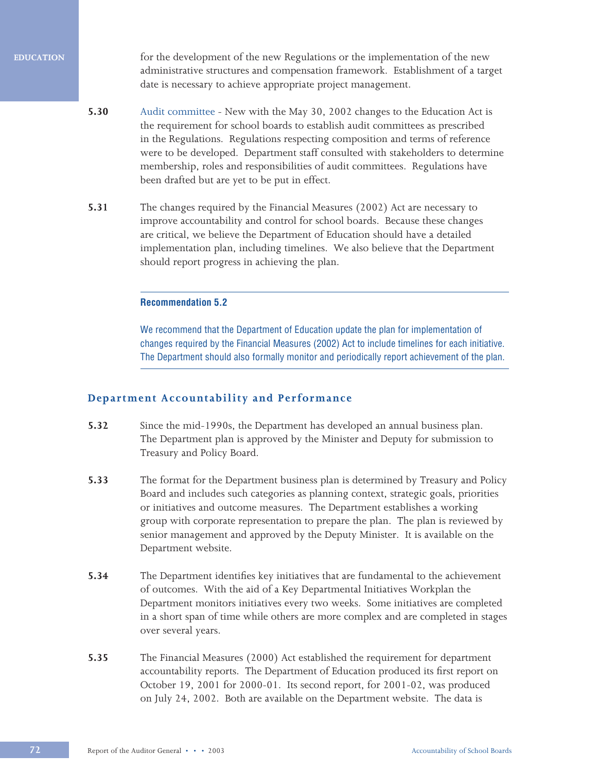for the development of the new Regulations or the implementation of the new administrative structures and compensation framework. Establishment of a target date is necessary to achieve appropriate project management.

- **5.30** Audit committee New with the May 30, 2002 changes to the Education Act is the requirement for school boards to establish audit committees as prescribed in the Regulations. Regulations respecting composition and terms of reference were to be developed. Department staff consulted with stakeholders to determine membership, roles and responsibilities of audit committees. Regulations have been drafted but are yet to be put in effect.
- **5.31** The changes required by the Financial Measures (2002) Act are necessary to improve accountability and control for school boards. Because these changes are critical, we believe the Department of Education should have a detailed implementation plan, including timelines. We also believe that the Department should report progress in achieving the plan.

### **Recommendation 5.2**

We recommend that the Department of Education update the plan for implementation of changes required by the Financial Measures (2002) Act to include timelines for each initiative. The Department should also formally monitor and periodically report achievement of the plan.

# **Department Accountability and Performance**

- **5.32** Since the mid-1990s, the Department has developed an annual business plan. The Department plan is approved by the Minister and Deputy for submission to Treasury and Policy Board.
- **5.33** The format for the Department business plan is determined by Treasury and Policy Board and includes such categories as planning context, strategic goals, priorities or initiatives and outcome measures. The Department establishes a working group with corporate representation to prepare the plan. The plan is reviewed by senior management and approved by the Deputy Minister. It is available on the Department website.
- **5.34** The Department identifies key initiatives that are fundamental to the achievement of outcomes. With the aid of a Key Departmental Initiatives Workplan the Department monitors initiatives every two weeks. Some initiatives are completed in a short span of time while others are more complex and are completed in stages over several years.
- **5.35** The Financial Measures (2000) Act established the requirement for department accountability reports. The Department of Education produced its first report on October 19, 2001 for 2000-01. Its second report, for 2001-02, was produced on July 24, 2002. Both are available on the Department website. The data is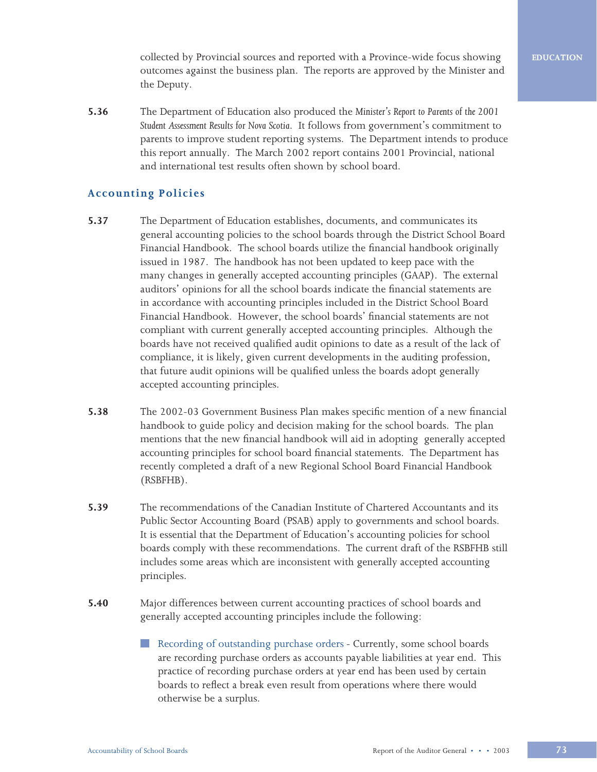collected by Provincial sources and reported with a Province-wide focus showing outcomes against the business plan. The reports are approved by the Minister and the Deputy.

**5.36** The Department of Education also produced the *Minister's Report to Parents of the 2001 Student Assessment Results for Nova Scotia*. It follows from government's commitment to parents to improve student reporting systems. The Department intends to produce this report annually. The March 2002 report contains 2001 Provincial, national and international test results often shown by school board.

# **Accounting Policies**

- **5.37** The Department of Education establishes, documents, and communicates its general accounting policies to the school boards through the District School Board Financial Handbook. The school boards utilize the financial handbook originally issued in 1987. The handbook has not been updated to keep pace with the many changes in generally accepted accounting principles (GAAP). The external auditors' opinions for all the school boards indicate the financial statements are in accordance with accounting principles included in the District School Board Financial Handbook. However, the school boards' financial statements are not compliant with current generally accepted accounting principles. Although the boards have not received qualified audit opinions to date as a result of the lack of compliance, it is likely, given current developments in the auditing profession, that future audit opinions will be qualified unless the boards adopt generally accepted accounting principles.
- **5.38** The 2002-03 Government Business Plan makes specific mention of a new financial handbook to guide policy and decision making for the school boards. The plan mentions that the new financial handbook will aid in adopting generally accepted accounting principles for school board financial statements. The Department has recently completed a draft of a new Regional School Board Financial Handbook (RSBFHB).
- **5.39** The recommendations of the Canadian Institute of Chartered Accountants and its Public Sector Accounting Board (PSAB) apply to governments and school boards. It is essential that the Department of Education's accounting policies for school boards comply with these recommendations. The current draft of the RSBFHB still includes some areas which are inconsistent with generally accepted accounting principles.
- **5.40** Major differences between current accounting practices of school boards and generally accepted accounting principles include the following:
	- Recording of outstanding purchase orders Currently, some school boards **Contract** are recording purchase orders as accounts payable liabilities at year end. This practice of recording purchase orders at year end has been used by certain boards to reflect a break even result from operations where there would otherwise be a surplus.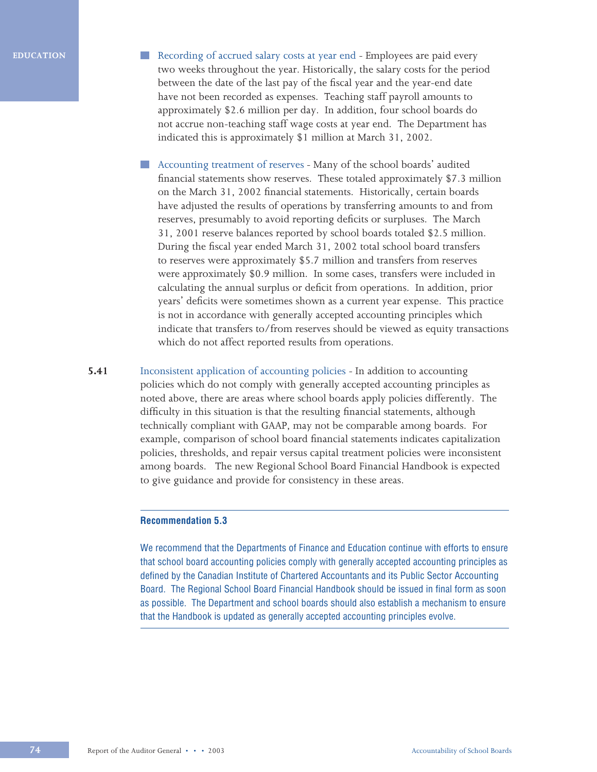- Recording of accrued salary costs at year end Employees are paid every two weeks throughout the year. Historically, the salary costs for the period between the date of the last pay of the fiscal year and the year-end date have not been recorded as expenses. Teaching staff payroll amounts to approximately \$2.6 million per day. In addition, four school boards do not accrue non-teaching staff wage costs at year end. The Department has indicated this is approximately \$1 million at March 31, 2002.
- $\mathcal{L}^{\mathcal{L}}$ Accounting treatment of reserves *-* Many of the school boards' audited financial statements show reserves. These totaled approximately \$7.3 million on the March 31, 2002 financial statements. Historically, certain boards have adjusted the results of operations by transferring amounts to and from reserves, presumably to avoid reporting deficits or surpluses. The March 31, 2001 reserve balances reported by school boards totaled \$2.5 million. During the fiscal year ended March 31, 2002 total school board transfers to reserves were approximately \$5.7 million and transfers from reserves were approximately \$0.9 million. In some cases, transfers were included in calculating the annual surplus or deficit from operations. In addition, prior years' deficits were sometimes shown as a current year expense. This practice is not in accordance with generally accepted accounting principles which indicate that transfers to/from reserves should be viewed as equity transactions which do not affect reported results from operations.
- **5.41** Inconsistent application of accounting policies In addition to accounting policies which do not comply with generally accepted accounting principles as noted above, there are areas where school boards apply policies differently. The difficulty in this situation is that the resulting financial statements, although technically compliant with GAAP, may not be comparable among boards. For example, comparison of school board financial statements indicates capitalization policies, thresholds, and repair versus capital treatment policies were inconsistent among boards. The new Regional School Board Financial Handbook is expected to give guidance and provide for consistency in these areas.

## **Recommendation 5.3**

We recommend that the Departments of Finance and Education continue with efforts to ensure that school board accounting policies comply with generally accepted accounting principles as defined by the Canadian Institute of Chartered Accountants and its Public Sector Accounting Board. The Regional School Board Financial Handbook should be issued in final form as soon as possible. The Department and school boards should also establish a mechanism to ensure that the Handbook is updated as generally accepted accounting principles evolve.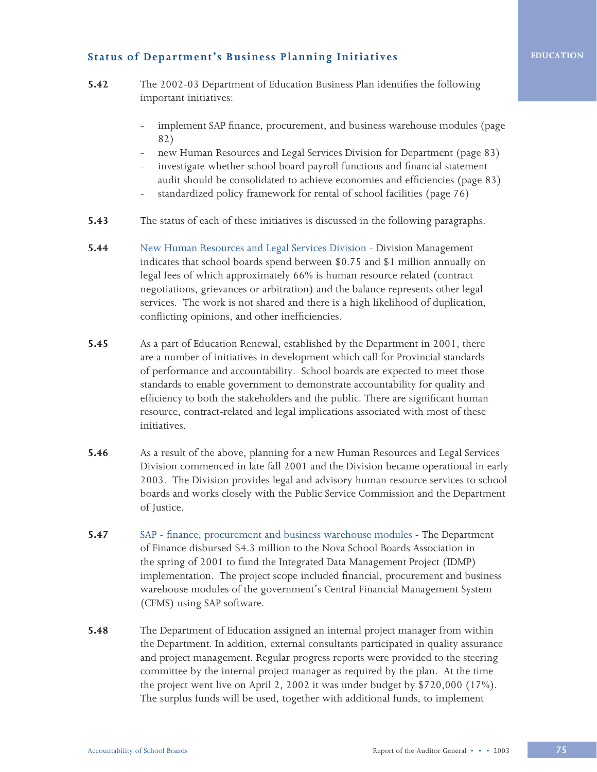# **Status of Department's Business Planning Initiatives**

- **5.42** The 2002-03 Department of Education Business Plan identifies the following important initiatives:
	- implement SAP finance, procurement, and business warehouse modules (page 82)
	- new Human Resources and Legal Services Division for Department (page 83)
	- investigate whether school board payroll functions and financial statement audit should be consolidated to achieve economies and efficiencies (page 83)
	- standardized policy framework for rental of school facilities (page 76)
- **5.43** The status of each of these initiatives is discussed in the following paragraphs.
- **5.44** New Human Resources and Legal Services Division Division Management indicates that school boards spend between \$0.75 and \$1 million annually on legal fees of which approximately 66% is human resource related (contract negotiations, grievances or arbitration) and the balance represents other legal services. The work is not shared and there is a high likelihood of duplication, conflicting opinions, and other inefficiencies.
- **5.45** As a part of Education Renewal, established by the Department in 2001, there are a number of initiatives in development which call for Provincial standards of performance and accountability. School boards are expected to meet those standards to enable government to demonstrate accountability for quality and efficiency to both the stakeholders and the public. There are significant human resource, contract-related and legal implications associated with most of these initiatives.
- **5.46** As a result of the above, planning for a new Human Resources and Legal Services Division commenced in late fall 2001 and the Division became operational in early 2003. The Division provides legal and advisory human resource services to school boards and works closely with the Public Service Commission and the Department of Justice.
- **5.47** SAP finance, procurement and business warehouse modules The Department of Finance disbursed \$4.3 million to the Nova School Boards Association in the spring of 2001 to fund the Integrated Data Management Project (IDMP) implementation. The project scope included financial, procurement and business warehouse modules of the government's Central Financial Management System (CFMS) using SAP software.
- **5.48** The Department of Education assigned an internal project manager from within the Department. In addition, external consultants participated in quality assurance and project management. Regular progress reports were provided to the steering committee by the internal project manager as required by the plan. At the time the project went live on April 2, 2002 it was under budget by \$720,000 (17%). The surplus funds will be used, together with additional funds, to implement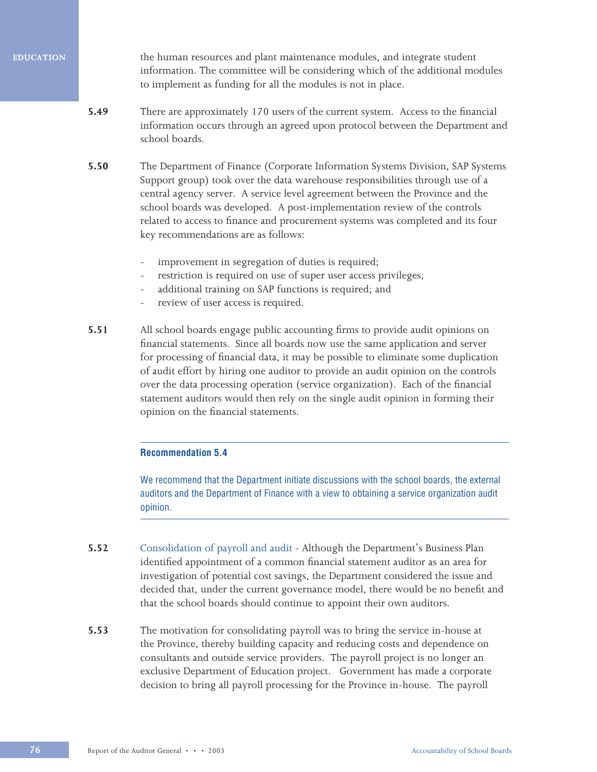the human resources and plant maintenance modules, and integrate student information. The committee will be considering which of the additional modules to implement as funding for all the modules is not in place.

- **5.49** There are approximately 170 users of the current system. Access to the financial information occurs through an agreed upon protocol between the Department and school boards.
- **5.50** The Department of Finance (Corporate Information Systems Division, SAP Systems Support group) took over the data warehouse responsibilities through use of a central agency server. A service level agreement between the Province and the school boards was developed. A post-implementation review of the controls related to access to finance and procurement systems was completed and its four key recommendations are as follows:
	- improvement in segregation of duties is required;
	- restriction is required on use of super user access privileges;
	- additional training on SAP functions is required; and
	- review of user access is required.
- **5.51** All school boards engage public accounting firms to provide audit opinions on financial statements. Since all boards now use the same application and server for processing of financial data, it may be possible to eliminate some duplication of audit effort by hiring one auditor to provide an audit opinion on the controls over the data processing operation (service organization). Each of the financial statement auditors would then rely on the single audit opinion in forming their opinion on the financial statements.

#### **Recommendation 5.4**

We recommend that the Department initiate discussions with the school boards, the external auditors and the Department of Finance with a view to obtaining a service organization audit opinion.

- **5.52** Consolidation of payroll and audit Although the Department's Business Plan identified appointment of a common financial statement auditor as an area for investigation of potential cost savings, the Department considered the issue and decided that, under the current governance model, there would be no benefit and that the school boards should continue to appoint their own auditors.
- **5.53** The motivation for consolidating payroll was to bring the service in-house at the Province, thereby building capacity and reducing costs and dependence on consultants and outside service providers. The payroll project is no longer an exclusive Department of Education project. Government has made a corporate decision to bring all payroll processing for the Province in-house. The payroll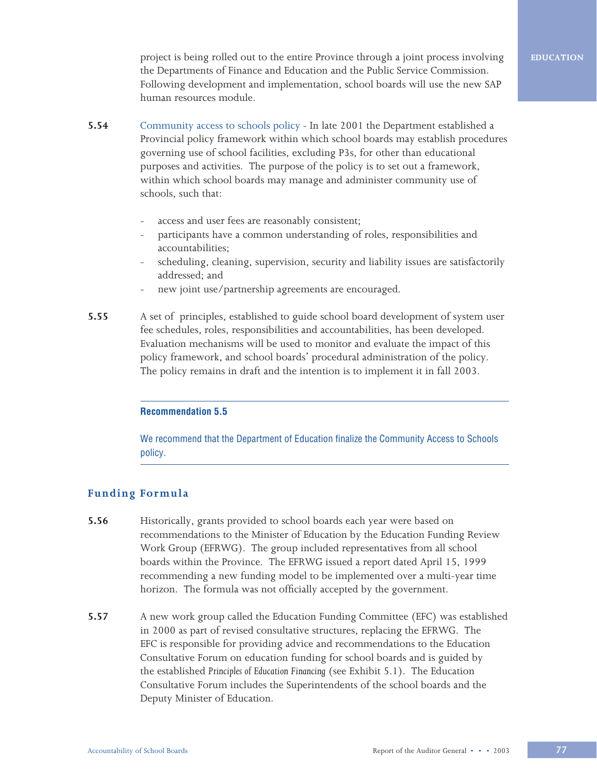project is being rolled out to the entire Province through a joint process involving the Departments of Finance and Education and the Public Service Commission. Following development and implementation, school boards will use the new SAP human resources module.

- **5.54** Community access to schools policyIn late 2001 the Department established a Provincial policy framework within which school boards may establish procedures governing use of school facilities, excluding P3s, for other than educational purposes and activities. The purpose of the policy is to set out a framework, within which school boards may manage and administer community use of schools, such that:
	- access and user fees are reasonably consistent;
	- participants have a common understanding of roles, responsibilities and accountabilities;
	- scheduling, cleaning, supervision, security and liability issues are satisfactorily addressed; and
	- new joint use/partnership agreements are encouraged.
- **5.55** A set of principles, established to guide school board development of system user fee schedules, roles, responsibilities and accountabilities, has been developed. Evaluation mechanisms will be used to monitor and evaluate the impact of this policy framework, and school boards' procedural administration of the policy. The policy remains in draft and the intention is to implement it in fall 2003.

### **Recommendation 5.5**

We recommend that the Department of Education finalize the Community Access to Schools policy.

# **Funding Formula**

- **5.56** Historically, grants provided to school boards each year were based on recommendations to the Minister of Education by the Education Funding Review Work Group (EFRWG). The group included representatives from all school boards within the Province. The EFRWG issued a report dated April 15, 1999 recommending a new funding model to be implemented over a multi-year time horizon. The formula was not officially accepted by the government.
- **5.57** A new work group called the Education Funding Committee (EFC) was established in 2000 as part of revised consultative structures, replacing the EFRWG. The EFC is responsible for providing advice and recommendations to the Education Consultative Forum on education funding for school boards and is guided by the established *Principles of Education Financing* (see Exhibit 5.1). The Education Consultative Forum includes the Superintendents of the school boards and the Deputy Minister of Education.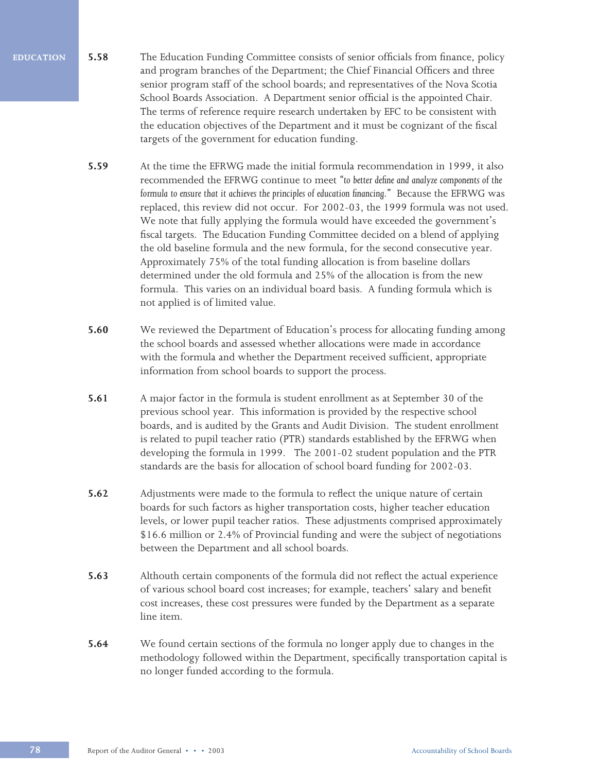- **5.58** The Education Funding Committee consists of senior officials from finance, policy and program branches of the Department; the Chief Financial Officers and three senior program staff of the school boards; and representatives of the Nova Scotia School Boards Association. A Department senior official is the appointed Chair. The terms of reference require research undertaken by EFC to be consistent with the education objectives of the Department and it must be cognizant of the fiscal targets of the government for education funding.
	- **5.59** At the time the EFRWG made the initial formula recommendation in 1999, it also recommended the EFRWG continue to meet *"to better define and analyze components of the formula to ensure that it achieves the principles of education financing."* Because the EFRWG was replaced, this review did not occur. For 2002-03, the 1999 formula was not used. We note that fully applying the formula would have exceeded the government's fiscal targets. The Education Funding Committee decided on a blend of applying the old baseline formula and the new formula, for the second consecutive year. Approximately 75% of the total funding allocation is from baseline dollars determined under the old formula and 25% of the allocation is from the new formula. This varies on an individual board basis. A funding formula which is not applied is of limited value.
	- **5.60** We reviewed the Department of Education's process for allocating funding among the school boards and assessed whether allocations were made in accordance with the formula and whether the Department received sufficient, appropriate information from school boards to support the process.
	- **5.61** A major factor in the formula is student enrollment as at September 30 of the previous school year. This information is provided by the respective school boards, and is audited by the Grants and Audit Division. The student enrollment is related to pupil teacher ratio (PTR) standards established by the EFRWG when developing the formula in 1999. The 2001-02 student population and the PTR standards are the basis for allocation of school board funding for 2002-03.
	- **5.62** Adjustments were made to the formula to reflect the unique nature of certain boards for such factors as higher transportation costs, higher teacher education levels, or lower pupil teacher ratios. These adjustments comprised approximately \$16.6 million or 2.4% of Provincial funding and were the subject of negotiations between the Department and all school boards.
	- **5.63** Althouth certain components of the formula did not reflect the actual experience of various school board cost increases; for example, teachers' salary and benefit cost increases, these cost pressures were funded by the Department as a separate line item.
	- **5.64** We found certain sections of the formula no longer apply due to changes in the methodology followed within the Department, specifically transportation capital is no longer funded according to the formula.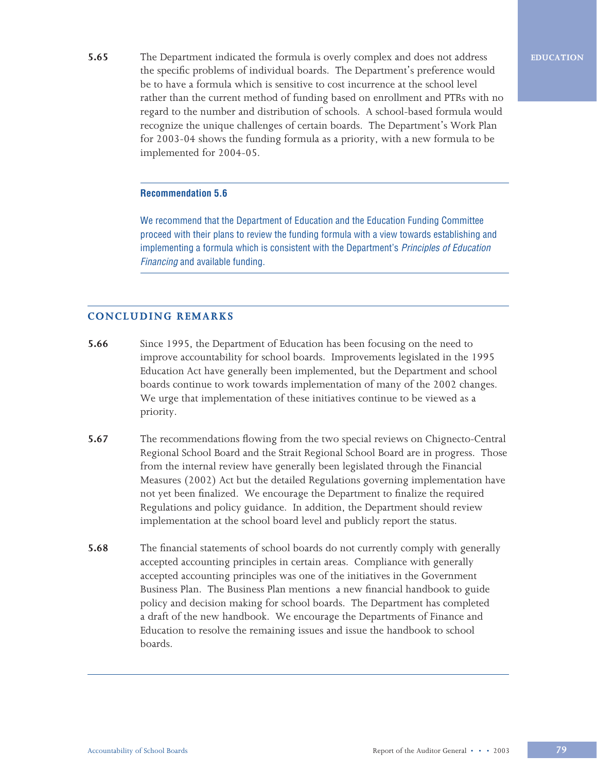**5.65** The Department indicated the formula is overly complex and does not address the specific problems of individual boards. The Department's preference would be to have a formula which is sensitive to cost incurrence at the school level rather than the current method of funding based on enrollment and PTRs with no regard to the number and distribution of schools. A school-based formula would recognize the unique challenges of certain boards. The Department's Work Plan for 2003-04 shows the funding formula as a priority, with a new formula to be implemented for 2004-05.

#### **Recommendation 5.6**

We recommend that the Department of Education and the Education Funding Committee proceed with their plans to review the funding formula with a view towards establishing and implementing a formula which is consistent with the Department's *Principles of Education* Financing and available funding.

# **CONCLUDING REMARKS**

- **5.66** Since 1995, the Department of Education has been focusing on the need to improve accountability for school boards. Improvements legislated in the 1995 Education Act have generally been implemented, but the Department and school boards continue to work towards implementation of many of the 2002 changes. We urge that implementation of these initiatives continue to be viewed as a priority.
- **5.67** The recommendations flowing from the two special reviews on Chignecto-Central Regional School Board and the Strait Regional School Board are in progress. Those from the internal review have generally been legislated through the Financial Measures (2002) Act but the detailed Regulations governing implementation have not yet been finalized. We encourage the Department to finalize the required Regulations and policy guidance. In addition, the Department should review implementation at the school board level and publicly report the status.
- **5.68** The financial statements of school boards do not currently comply with generally accepted accounting principles in certain areas. Compliance with generally accepted accounting principles was one of the initiatives in the Government Business Plan. The Business Plan mentions a new financial handbook to guide policy and decision making for school boards. The Department has completed a draft of the new handbook. We encourage the Departments of Finance and Education to resolve the remaining issues and issue the handbook to school boards.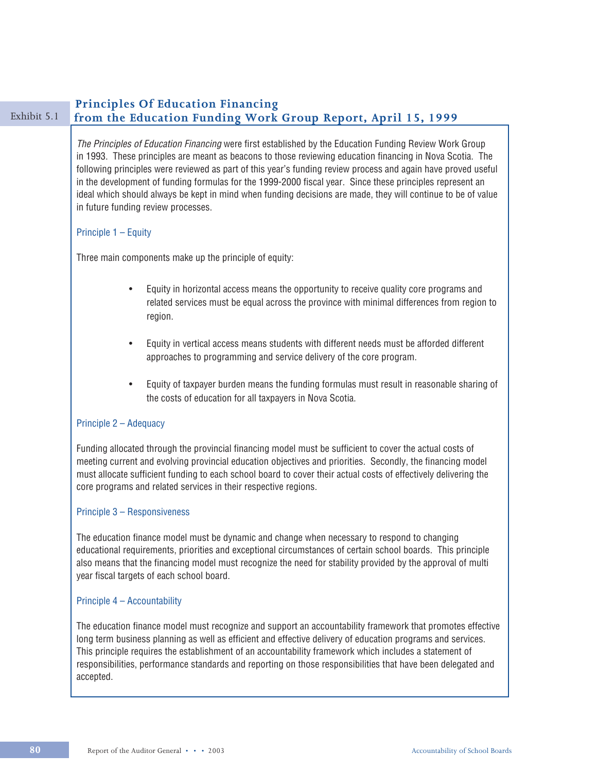# **Principles Of Education Financing**<br>Exhibit 5.1 **From the Education Funding Work** from the Education Funding Work Group Report, April 15, 1999 The Principles of Education Financing were first established by the Education Funding Review Work Group in 1993. These principles are meant as beacons to those reviewing education financing in Nova Scotia. The following principles were reviewed as part of this year's funding review process and again have proved useful in the development of funding formulas for the 1999-2000 fiscal year. Since these principles represent an ideal which should always be kept in mind when funding decisions are made, they will continue to be of value in future funding review processes. Principle 1 – Equity Three main components make up the principle of equity: • Equity in horizontal access means the opportunity to receive quality core programs and related services must be equal across the province with minimal differences from region to region. • Equity in vertical access means students with different needs must be afforded different approaches to programming and service delivery of the core program. • Equity of taxpayer burden means the funding formulas must result in reasonable sharing of the costs of education for all taxpayers in Nova Scotia. Principle 2 – Adequacy Funding allocated through the provincial financing model must be sufficient to cover the actual costs of meeting current and evolving provincial education objectives and priorities. Secondly, the financing model must allocate sufficient funding to each school board to cover their actual costs of effectively delivering the core programs and related services in their respective regions. Principle 3 – Responsiveness The education finance model must be dynamic and change when necessary to respond to changing educational requirements, priorities and exceptional circumstances of certain school boards. This principle also means that the financing model must recognize the need for stability provided by the approval of multi year fiscal targets of each school board. Principle 4 – Accountability The education finance model must recognize and support an accountability framework that promotes effective long term business planning as well as efficient and effective delivery of education programs and services. This principle requires the establishment of an accountability framework which includes a statement of responsibilities, performance standards and reporting on those responsibilities that have been delegated and accepted.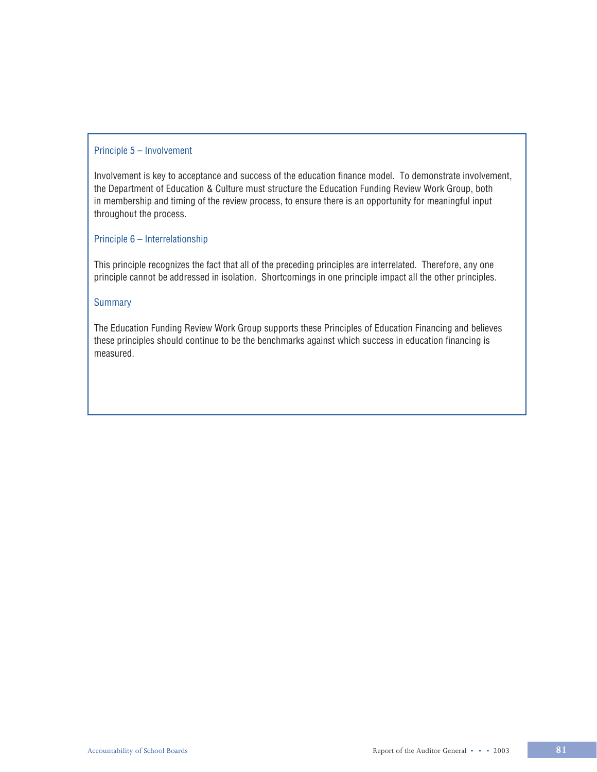### Principle 5 – Involvement

Involvement is key to acceptance and success of the education finance model. To demonstrate involvement, the Department of Education & Culture must structure the Education Funding Review Work Group, both in membership and timing of the review process, to ensure there is an opportunity for meaningful input throughout the process.

# Principle 6 – Interrelationship

This principle recognizes the fact that all of the preceding principles are interrelated. Therefore, any one principle cannot be addressed in isolation. Shortcomings in one principle impact all the other principles.

### **Summary**

The Education Funding Review Work Group supports these Principles of Education Financing and believes these principles should continue to be the benchmarks against which success in education financing is measured.